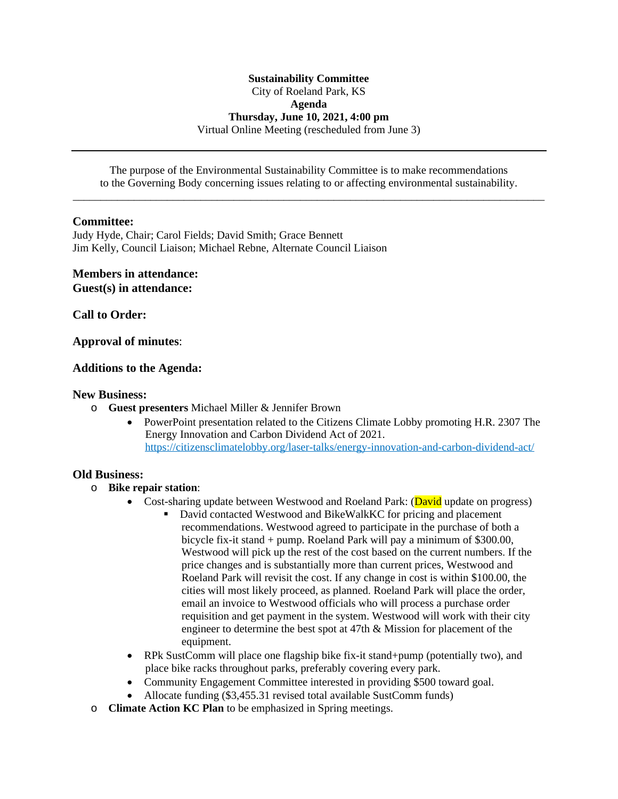## **Sustainability Committee** City of Roeland Park, KS **Agenda Thursday, June 10, 2021, 4:00 pm** Virtual Online Meeting (rescheduled from June 3)

The purpose of the Environmental Sustainability Committee is to make recommendations to the Governing Body concerning issues relating to or affecting environmental sustainability. \_\_\_\_\_\_\_\_\_\_\_\_\_\_\_\_\_\_\_\_\_\_\_\_\_\_\_\_\_\_\_\_\_\_\_\_\_\_\_\_\_\_\_\_\_\_\_\_\_\_\_\_\_\_\_\_\_\_\_\_\_\_\_\_\_\_\_\_\_\_\_\_\_\_\_\_\_\_\_\_\_\_\_\_\_

## **Committee:**

Judy Hyde, Chair; Carol Fields; David Smith; Grace Bennett Jim Kelly, Council Liaison; Michael Rebne, Alternate Council Liaison

### **Members in attendance: Guest(s) in attendance:**

**Call to Order:**

**Approval of minutes**:

## **Additions to the Agenda:**

#### **New Business:**

- o **Guest presenters** Michael Miller & Jennifer Brown
	- PowerPoint presentation related to the Citizens Climate Lobby promoting H.R. 2307 The Energy Innovation and Carbon Dividend Act of 2021. <https://citizensclimatelobby.org/laser-talks/energy-innovation-and-carbon-dividend-act/>

### **[Old Business:](https://citizensclimatelobby.org/laser-talks/energy-innovation-and-carbon-dividend-act/)**

- o **[Bike repair station](https://citizensclimatelobby.org/laser-talks/energy-innovation-and-carbon-dividend-act/)**[:](https://citizensclimatelobby.org/laser-talks/energy-innovation-and-carbon-dividend-act/)
	- [Cost-sharing update between Westwood and Roeland Park:](https://citizensclimatelobby.org/laser-talks/energy-innovation-and-carbon-dividend-act/) [\(David update on progress\)](https://citizensclimatelobby.org/laser-talks/energy-innovation-and-carbon-dividend-act/)
		- [David contacted Westwood and BikeWalkKC for pricing and placement](https://citizensclimatelobby.org/laser-talks/energy-innovation-and-carbon-dividend-act/)  [recommendations.](https://citizensclimatelobby.org/laser-talks/energy-innovation-and-carbon-dividend-act/) [Westwood](https://citizensclimatelobby.org/laser-talks/energy-innovation-and-carbon-dividend-act/) [agreed to participate in the purchase of both a](https://citizensclimatelobby.org/laser-talks/energy-innovation-and-carbon-dividend-act/)  [bicycle fix-it stand + pump. Roeland Park will pay a minimum of \\$300.00,](https://citizensclimatelobby.org/laser-talks/energy-innovation-and-carbon-dividend-act/)  [Westwood will pick up the rest of the cost based on the current numbers](https://citizensclimatelobby.org/laser-talks/energy-innovation-and-carbon-dividend-act/)[.](https://citizensclimatelobby.org/laser-talks/energy-innovation-and-carbon-dividend-act/) [If the](https://citizensclimatelobby.org/laser-talks/energy-innovation-and-carbon-dividend-act/)  [price](https://citizensclimatelobby.org/laser-talks/energy-innovation-and-carbon-dividend-act/) [changes and](https://citizensclimatelobby.org/laser-talks/energy-innovation-and-carbon-dividend-act/) [is substantially more than current prices,](https://citizensclimatelobby.org/laser-talks/energy-innovation-and-carbon-dividend-act/) [Westwood and](https://citizensclimatelobby.org/laser-talks/energy-innovation-and-carbon-dividend-act/)  [Roeland Park will revisit the cost.](https://citizensclimatelobby.org/laser-talks/energy-innovation-and-carbon-dividend-act/) [If any change in cost is within \\$100.00, the](https://citizensclimatelobby.org/laser-talks/energy-innovation-and-carbon-dividend-act/)  [cities will most likely proceed, as planned](https://citizensclimatelobby.org/laser-talks/energy-innovation-and-carbon-dividend-act/)[.](https://citizensclimatelobby.org/laser-talks/energy-innovation-and-carbon-dividend-act/) [Roeland Park will place the order,](https://citizensclimatelobby.org/laser-talks/energy-innovation-and-carbon-dividend-act/) [email](https://citizensclimatelobby.org/laser-talks/energy-innovation-and-carbon-dividend-act/) [an invoice to Westwood officials](https://citizensclimatelobby.org/laser-talks/energy-innovation-and-carbon-dividend-act/) [who will process a purchase order](https://citizensclimatelobby.org/laser-talks/energy-innovation-and-carbon-dividend-act/)  [requisition and get payment in the system.](https://citizensclimatelobby.org/laser-talks/energy-innovation-and-carbon-dividend-act/) [Westwood will work with their city](https://citizensclimatelobby.org/laser-talks/energy-innovation-and-carbon-dividend-act/)  [engineer to determine the best spot at 47th & Mission for placement of the](https://citizensclimatelobby.org/laser-talks/energy-innovation-and-carbon-dividend-act/)  [equipment.](https://citizensclimatelobby.org/laser-talks/energy-innovation-and-carbon-dividend-act/)
	- [RPk SustComm will place one flagship bike fix-it stand+pump \(potentially two\), and](https://citizensclimatelobby.org/laser-talks/energy-innovation-and-carbon-dividend-act/)  [place bike racks throughout parks, preferably covering every park.](https://citizensclimatelobby.org/laser-talks/energy-innovation-and-carbon-dividend-act/)
	- [Community Engagement Committee interested in providing \\$500 toward goal.](https://citizensclimatelobby.org/laser-talks/energy-innovation-and-carbon-dividend-act/)
	- [Allocate funding \(\\$3,455.31](https://citizensclimatelobby.org/laser-talks/energy-innovation-and-carbon-dividend-act/) [revised total available SustComm funds\)](https://citizensclimatelobby.org/laser-talks/energy-innovation-and-carbon-dividend-act/)
- o **[Climate Action KC Plan](https://citizensclimatelobby.org/laser-talks/energy-innovation-and-carbon-dividend-act/)** [to be emphasized in Spring meetings.](https://citizensclimatelobby.org/laser-talks/energy-innovation-and-carbon-dividend-act/)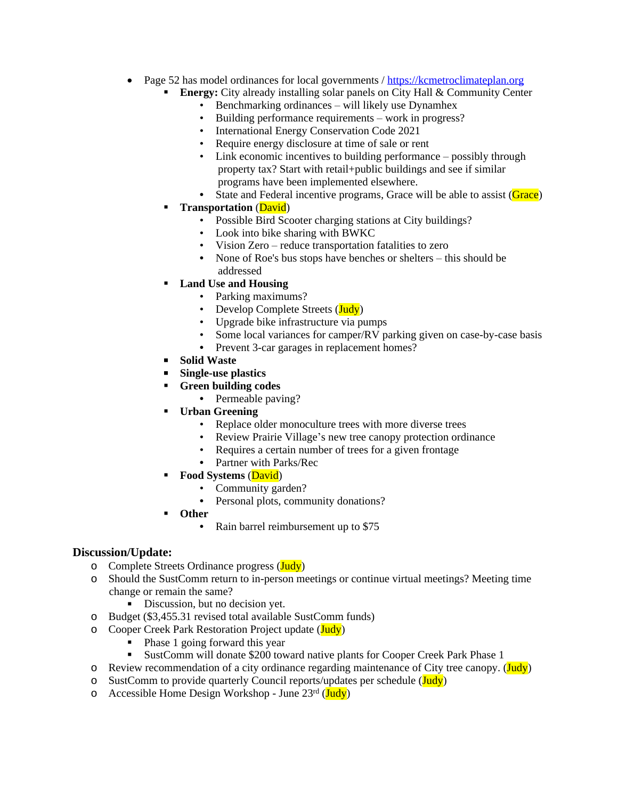- Page 52 has model ordinances for local governments / [https://kcmetroclimateplan.org](https://kcmetroclimateplan.org/)
	- **[Energy:](https://kcmetroclimateplan.org/)** [City already installing solar panels on City Hall & Community Center](https://kcmetroclimateplan.org/)
		- [Benchmarking ordinances](https://kcmetroclimateplan.org/) [–](https://kcmetroclimateplan.org/) [will likely use Dynamhex](https://kcmetroclimateplan.org/)
		- [Building performance requirements](https://kcmetroclimateplan.org/) [–](https://kcmetroclimateplan.org/) [work in progress?](https://kcmetroclimateplan.org/)
		- [International Energy Conservation Code 2021](https://kcmetroclimateplan.org/)
		- [Require energy disclosure at time of sale or rent](https://kcmetroclimateplan.org/)
		- [Link economic incentives to building performance](https://kcmetroclimateplan.org/) [–](https://kcmetroclimateplan.org/) possibly through [property tax? Start with retail+public buildings and see if similar](https://kcmetroclimateplan.org/)  [programs have been implemented elsewhere.](https://kcmetroclimateplan.org/)
		- [State and Federal incentive programs, Grace will be able to assist \(Grace\)](https://kcmetroclimateplan.org/)
	- **[Transportation](https://kcmetroclimateplan.org/)** [\(David\)](https://kcmetroclimateplan.org/)
		- [Possible Bird Scooter charging stations at City buildings?](https://kcmetroclimateplan.org/)
		- [Look into bike sharing with BWKC](https://kcmetroclimateplan.org/)
		- [Vision Zero](https://kcmetroclimateplan.org/) [–](https://kcmetroclimateplan.org/) [reduce transportation fatalities to zero](https://kcmetroclimateplan.org/)
		- [None of Roe's bus stops have benches or shelters](https://kcmetroclimateplan.org/) [–](https://kcmetroclimateplan.org/) this should be [addressed](https://kcmetroclimateplan.org/)
	- **[Land Use and Housing](https://kcmetroclimateplan.org/)**
		- [Parking maximums?](https://kcmetroclimateplan.org/)
		- [Develop](https://kcmetroclimateplan.org/) [Complete Streets \(Judy\)](https://kcmetroclimateplan.org/)
		- [Upgrade bike infrastructure via pumps](https://kcmetroclimateplan.org/)
		- [Some local variances for camper/RV parking given on case-by-case basis](https://kcmetroclimateplan.org/)
		- **•** [Prevent 3-car garages in replacement homes?](https://kcmetroclimateplan.org/)
	- **[Solid Waste](https://kcmetroclimateplan.org/)**
	- **[Single-use plastics](https://kcmetroclimateplan.org/)**
	- **[Green building codes](https://kcmetroclimateplan.org/)**
		- **•** [Permeable paving?](https://kcmetroclimateplan.org/)
	- **[Urban Greening](https://kcmetroclimateplan.org/)**
		- [Replace older monoculture trees with more diverse trees](https://kcmetroclimateplan.org/)
		- [Review Prairie Village](https://kcmetroclimateplan.org/)'s ne[w tree canopy protection ordinance](https://kcmetroclimateplan.org/)
		- [Requires a certain number of trees for a given frontage](https://kcmetroclimateplan.org/)
		- **•** [Partner with Parks/Rec](https://kcmetroclimateplan.org/)
	- **[Food Systems](https://kcmetroclimateplan.org/)** [\(David\)](https://kcmetroclimateplan.org/)
		- [Community garden?](https://kcmetroclimateplan.org/)
		- **•** [Personal plots, community donations?](https://kcmetroclimateplan.org/)
	- **[Other](https://kcmetroclimateplan.org/)**
		- **•** [Rain barrel reimbursement up to \\$75](https://kcmetroclimateplan.org/)

## **[Discussion/Update:](https://kcmetroclimateplan.org/)**

- o [Complete Streets Ordinance progress \(Judy\)](https://kcmetroclimateplan.org/)
- o [Should the SustComm return to in-person meetings or continue virtual meetings?](https://kcmetroclimateplan.org/) [Meeting time](https://kcmetroclimateplan.org/)  [change or remain the same?](https://kcmetroclimateplan.org/)
	- [Discussion, but no decision yet.](https://kcmetroclimateplan.org/)
- o [Budget](https://kcmetroclimateplan.org/) [\(\\$3,455.31 revised total available SustComm funds\)](https://kcmetroclimateplan.org/)
- o [Cooper Creek Park Restoration Project](https://kcmetroclimateplan.org/) [update](https://kcmetroclimateplan.org/) [\(Judy\)](https://kcmetroclimateplan.org/)
	- [Phase 1 going forward this year](https://kcmetroclimateplan.org/)<br>• SustComm will donate \$200 town
	- [SustComm](https://kcmetroclimateplan.org/) [will donate \\$200 toward native plants for](https://kcmetroclimateplan.org/) [Cooper Creek Park Phase 1](https://kcmetroclimateplan.org/)
- $\circ$  [Review recommendation of a city ordinance regarding maintenance of City tree canopy.](https://kcmetroclimateplan.org/) [\(Judy\)](https://kcmetroclimateplan.org/)
- o [SustComm to provide quarterly Council reports/updates](https://kcmetroclimateplan.org/) [per schedule \(Judy\)](https://kcmetroclimateplan.org/)
- $\circ$  [Accessible Home Design Workshop June 23](https://kcmetroclimateplan.org/)<sup>[rd](https://kcmetroclimateplan.org/)</sup> [\(Judy\)](https://kcmetroclimateplan.org/)